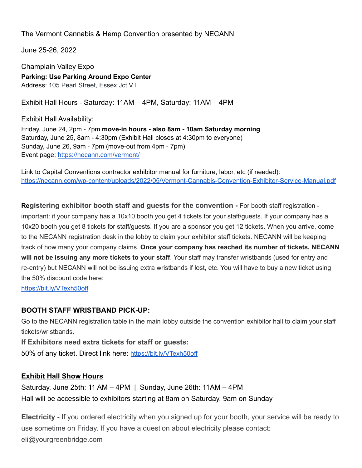The Vermont Cannabis & Hemp Convention presented by NECANN

June 25-26, 2022

Champlain Valley Expo **Parking: Use Parking Around Expo Center** Address: 105 Pearl Street, Essex Jct VT

Exhibit Hall Hours - Saturday: 11AM – 4PM, Saturday: 11AM – 4PM

Exhibit Hall Availability: Friday, June 24, 2pm - 7pm **move-in hours - also 8am - 10am Saturday morning** Saturday, June 25, 8am - 4:30pm (Exhibit Hall closes at 4:30pm to everyone) Sunday, June 26, 9am - 7pm (move-out from 4pm - 7pm) Event page: <https://necann.com/vermont/>

Link to Capital Conventions contractor exhibitor manual for furniture, labor, etc (if needed): <https://necann.com/wp-content/uploads/2022/05/Vermont-Cannabis-Convention-Exhibitor-Service-Manual.pdf>

**Registering exhibitor booth staff and guests for the convention -** For booth staff registration important: if your company has a 10x10 booth you get 4 tickets for your staff/guests. If your company has a 10x20 booth you get 8 tickets for staff/guests. If you are a sponsor you get 12 tickets. When you arrive, come to the NECANN registration desk in the lobby to claim your exhibitor staff tickets. NECANN will be keeping track of how many your company claims. **Once your company has reached its number of tickets, NECANN will not be issuing any more tickets to your staff**. Your staff may transfer wristbands (used for entry and re-entry) but NECANN will not be issuing extra wristbands if lost, etc. You will have to buy a new ticket using the 50% discount code here:

<https://bit.ly/VTexh50off>

## **BOOTH STAFF WRISTBAND PICK-UP:**

Go to the NECANN registration table in the main lobby outside the convention exhibitor hall to claim your staff tickets/wristbands.

**If Exhibitors need extra tickets for staff or guests:** 50% of any ticket. Direct link here: <https://bit.ly/VTexh50off>

## **Exhibit Hall Show Hours**

Saturday, June 25th: 11 AM – 4PM | Sunday, June 26th: 11AM – 4PM Hall will be accessible to exhibitors starting at 8am on Saturday, 9am on Sunday

**Electricity -** If you ordered electricity when you signed up for your booth, your service will be ready to use sometime on Friday. If you have a question about electricity please contact: eli@yourgreenbridge.com